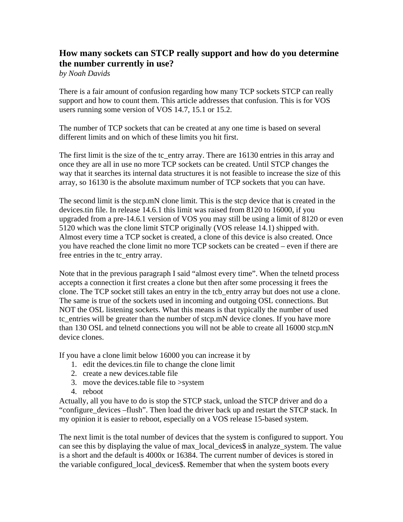## **How many sockets can STCP really support and how do you determine the number currently in use?**

*by Noah Davids* 

There is a fair amount of confusion regarding how many TCP sockets STCP can really support and how to count them. This article addresses that confusion. This is for VOS users running some version of VOS 14.7, 15.1 or 15.2.

The number of TCP sockets that can be created at any one time is based on several different limits and on which of these limits you hit first.

The first limit is the size of the tc\_entry array. There are 16130 entries in this array and once they are all in use no more TCP sockets can be created. Until STCP changes the way that it searches its internal data structures it is not feasible to increase the size of this array, so 16130 is the absolute maximum number of TCP sockets that you can have.

The second limit is the stcp.mN clone limit. This is the stcp device that is created in the devices.tin file. In release 14.6.1 this limit was raised from 8120 to 16000, if you upgraded from a pre-14.6.1 version of VOS you may still be using a limit of 8120 or even 5120 which was the clone limit STCP originally (VOS release 14.1) shipped with. Almost every time a TCP socket is created, a clone of this device is also created. Once you have reached the clone limit no more TCP sockets can be created – even if there are free entries in the tc\_entry array.

Note that in the previous paragraph I said "almost every time". When the telnetd process accepts a connection it first creates a clone but then after some processing it frees the clone. The TCP socket still takes an entry in the tcb\_entry array but does not use a clone. The same is true of the sockets used in incoming and outgoing OSL connections. But NOT the OSL listening sockets. What this means is that typically the number of used tc\_entries will be greater than the number of stcp.mN device clones. If you have more than 130 OSL and telnetd connections you will not be able to create all 16000 stcp.mN device clones.

If you have a clone limit below 16000 you can increase it by

- 1. edit the devices.tin file to change the clone limit
- 2. create a new devices.table file
- 3. move the devices.table file to >system
- 4. reboot

Actually, all you have to do is stop the STCP stack, unload the STCP driver and do a "configure\_devices –flush". Then load the driver back up and restart the STCP stack. In my opinion it is easier to reboot, especially on a VOS release 15-based system.

The next limit is the total number of devices that the system is configured to support. You can see this by displaying the value of max local devices\$ in analyze system. The value is a short and the default is 4000x or 16384. The current number of devices is stored in the variable configured\_local\_devices\$. Remember that when the system boots every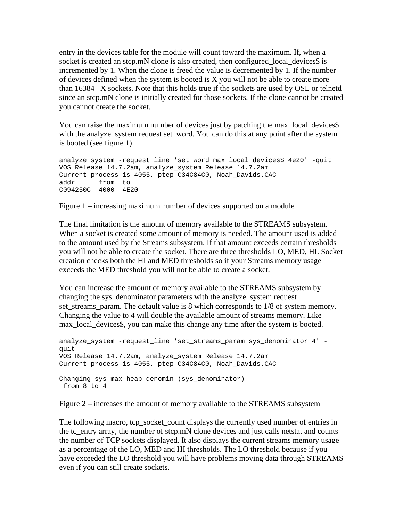entry in the devices table for the module will count toward the maximum. If, when a socket is created an stcp.mN clone is also created, then configured\_local\_devices\$ is incremented by 1. When the clone is freed the value is decremented by 1. If the number of devices defined when the system is booted is X you will not be able to create more than 16384 –X sockets. Note that this holds true if the sockets are used by OSL or telnetd since an stcp.mN clone is initially created for those sockets. If the clone cannot be created you cannot create the socket.

You can raise the maximum number of devices just by patching the max local devices\$ with the analyze\_system request set\_word. You can do this at any point after the system is booted (see figure 1).

```
analyze_system -request_line 'set_word max_local_devices$ 4e20' -quit 
VOS Release 14.7.2am, analyze_system Release 14.7.2am 
Current process is 4055, ptep C34C84C0, Noah_Davids.CAC 
addr from to 
C094250C 4000 4E20
```
Figure 1 – increasing maximum number of devices supported on a module

The final limitation is the amount of memory available to the STREAMS subsystem. When a socket is created some amount of memory is needed. The amount used is added to the amount used by the Streams subsystem. If that amount exceeds certain thresholds you will not be able to create the socket. There are three thresholds LO, MED, HI. Socket creation checks both the HI and MED thresholds so if your Streams memory usage exceeds the MED threshold you will not be able to create a socket.

You can increase the amount of memory available to the STREAMS subsystem by changing the sys\_denominator parameters with the analyze\_system request set\_streams\_param. The default value is 8 which corresponds to 1/8 of system memory. Changing the value to 4 will double the available amount of streams memory. Like max\_local\_devices\$, you can make this change any time after the system is booted.

```
analyze_system -request_line 'set_streams_param sys_denominator 4' -
quit 
VOS Release 14.7.2am, analyze_system Release 14.7.2am 
Current process is 4055, ptep C34C84C0, Noah_Davids.CAC 
Changing sys max heap denomin (sys_denominator) 
 from 8 to 4
```
Figure 2 – increases the amount of memory available to the STREAMS subsystem

The following macro, tcp\_socket\_count displays the currently used number of entries in the tc\_entry array, the number of stcp.mN clone devices and just calls netstat and counts the number of TCP sockets displayed. It also displays the current streams memory usage as a percentage of the LO, MED and HI thresholds. The LO threshold because if you have exceeded the LO threshold you will have problems moving data through STREAMS even if you can still create sockets.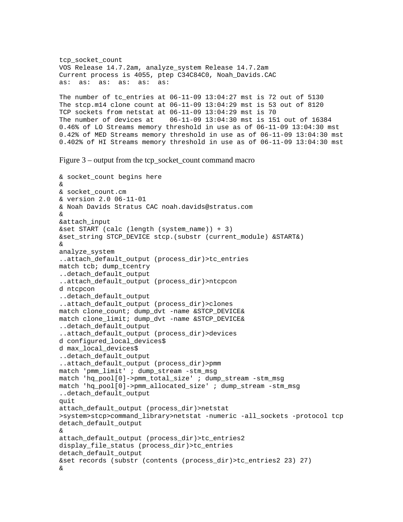tcp\_socket\_count VOS Release 14.7.2am, analyze\_system Release 14.7.2am Current process is 4055, ptep C34C84C0, Noah\_Davids.CAC as: as: as: as: as: as: The number of tc entries at  $06-11-09$  13:04:27 mst is 72 out of 5130 The stcp.m14 clone count at 06-11-09 13:04:29 mst is 53 out of 8120 TCP sockets from netstat at 06-11-09 13:04:29 mst is 70 The number of devices at 06-11-09 13:04:30 mst is 151 out of 16384 0.46% of LO Streams memory threshold in use as of 06-11-09 13:04:30 mst 0.42% of MED Streams memory threshold in use as of 06-11-09 13:04:30 mst 0.402% of HI Streams memory threshold in use as of 06-11-09 13:04:30 mst

Figure 3 – output from the tcp\_socket\_count command macro

```
& socket_count begins here 
& 
& socket_count.cm 
& version 2.0 06-11-01 
& Noah Davids Stratus CAC noah.davids@stratus.com 
& 
&attach_input 
&set START (calc (length (system_name)) + 3) 
&set_string STCP_DEVICE stcp.(substr (current_module) &START&) 
& 
analyze_system 
..attach default output (process dir)>tc entries
match tcb; dump_tcentry 
..detach_default_output 
..attach_default_output (process_dir)>ntcpcon 
d ntcpcon 
..detach_default_output 
..attach_default_output (process_dir)>clones 
match clone_count; dump_dvt -name &STCP_DEVICE& 
match clone_limit; dump_dvt -name &STCP_DEVICE& 
..detach_default_output 
..attach_default_output (process_dir)>devices 
d configured_local_devices$ 
d max_local_devices$ 
..detach_default_output 
..attach default output (process dir)>pmm
match 'pmm_limit' ; dump_stream -stm_msg 
match 'hq_pool[0]->pmm_total_size' ; dump_stream -stm_msg 
match 'hq pool[0]->pmm_allocated_size' ; dump_stream -stm_msq
..detach_default_output 
quit 
attach_default_output (process_dir)>netstat 
>system>stcp>command_library>netstat -numeric -all_sockets -protocol tcp 
detach_default_output 
& 
attach_default_output (process_dir)>tc_entries2 
display_file_status (process_dir)>tc_entries 
detach_default_output 
&set records (substr (contents (process_dir)>tc_entries2 23) 27) 
&
```